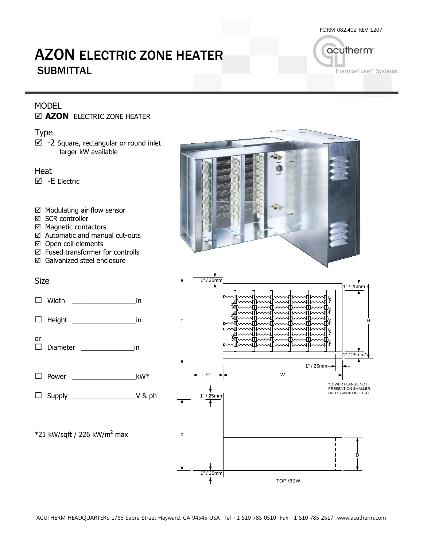FORM 082.402 REV 1207

# AZON ELECTRIC ZONE HEATER **SUBMITTAL**

acutherm<sup>®</sup> Therma-Fuser" Systems

### MODEL

#### $\boxtimes$  **AZON** ELECTRIC ZONE HEATER

Type

 $\boxtimes$  -2 Square, rectangular or round inlet larger kW available

Heat -E Electric



- $\boxtimes$  SCR controller
- Magnetic contactors
- Automatic and manual cut-outs
- Open coil elements
- Fused transformer for controlls
- Galvanized steel enclosure